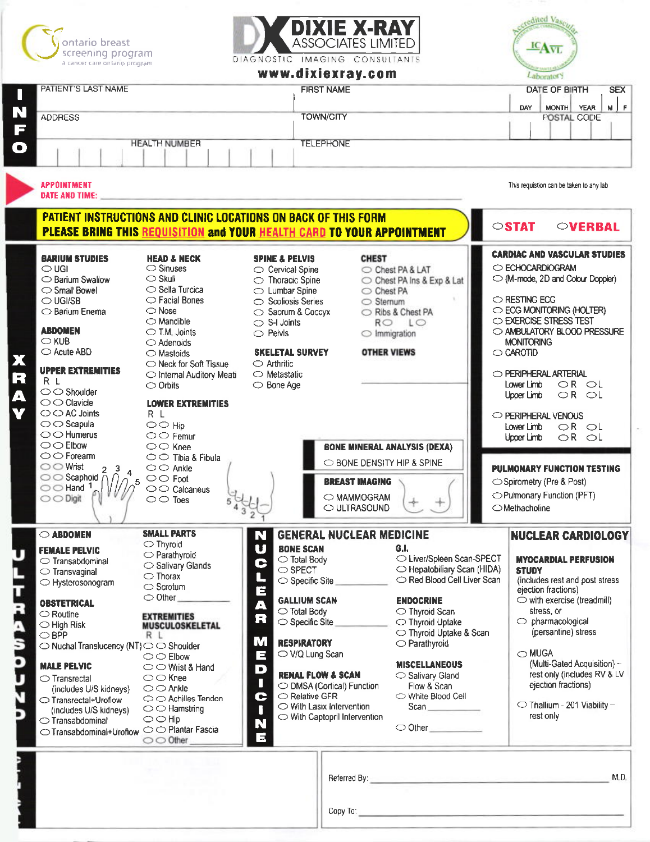



DIAGNOSTIC IMAGING CONSULTANTS

# $\alpha = 1$  ,  $\alpha$



|                                                                    |                                                                               |                                    | www.gixiexray.com                                        |                             |                                                          |                             | Laborator <sup>y</sup>                         |  |
|--------------------------------------------------------------------|-------------------------------------------------------------------------------|------------------------------------|----------------------------------------------------------|-----------------------------|----------------------------------------------------------|-----------------------------|------------------------------------------------|--|
| PATIENT'S LAST NAME<br><b>FIRST NAME</b>                           |                                                                               |                                    |                                                          |                             |                                                          | DATE OF BIRTH<br><b>SEX</b> |                                                |  |
|                                                                    |                                                                               |                                    |                                                          |                             |                                                          |                             | $M$ $F$<br>MONTH YEAR<br>DAY                   |  |
| <b>ADDRESS</b>                                                     |                                                                               |                                    | <b>TOWN/CITY</b>                                         |                             |                                                          |                             | POSTAL CODE                                    |  |
|                                                                    |                                                                               |                                    |                                                          |                             |                                                          |                             |                                                |  |
|                                                                    | <b>HEALTH NUMBER</b>                                                          |                                    | <b>TELEPHONE</b>                                         |                             |                                                          |                             |                                                |  |
|                                                                    |                                                                               |                                    |                                                          |                             |                                                          |                             |                                                |  |
|                                                                    |                                                                               |                                    |                                                          |                             |                                                          |                             |                                                |  |
| <b>APPOINTMENT</b>                                                 |                                                                               |                                    |                                                          |                             |                                                          |                             | This requistion can be taken to any lab        |  |
| DATE AND TIME:                                                     |                                                                               |                                    |                                                          |                             |                                                          |                             |                                                |  |
|                                                                    | <b>PATIENT INSTRUCTIONS AND CLINIC LOCATIONS ON BACK OF THIS FORM</b>         |                                    |                                                          |                             |                                                          |                             | $\circ$ STAT                                   |  |
|                                                                    | <b>PLEASE BRING THIS REQUISITION and YOUR HEALTH CARD TO YOUR APPOINTMENT</b> |                                    |                                                          |                             |                                                          |                             | <b>OVERBAL</b>                                 |  |
| <b>BARIUM STUDIES</b>                                              | <b>HEAD &amp; NECK</b>                                                        | <b>SPINE &amp; PELVIS</b>          |                                                          | <b>CHEST</b>                |                                                          |                             | <b>CARDIAC AND VASCULAR STUDIES</b>            |  |
| $\bigcirc$ UGI                                                     | $\circ$ Sinuses                                                               | $\circ$ Cervical Spine             |                                                          |                             | ○ Chest PA & LAT                                         |                             | C ECHOCARDIOGRAM                               |  |
| ◯ Barium Swallow                                                   | $\bigcirc$ Skull                                                              | $\circlearrowright$ Thoracic Spine |                                                          |                             | ○ Chest PA Ins & Exp & Lat                               |                             | M-mode, 2D and Colour Doppler)                 |  |
| $\bigcirc$ Small Bowel                                             | $\circ$ Sella Turcica                                                         | $\bigcirc$ Lumbar Spine            |                                                          | Chest PA                    |                                                          |                             |                                                |  |
| $\bigcirc$ UGI/SB                                                  | $\bigcirc$ Facial Bones                                                       | $\circ$ Scoliosis Series           |                                                          |                             | ○ Sternum                                                |                             | O RESTING ECG                                  |  |
| $\bigcirc$ Barium Enema                                            | $\bigcirc$ Nose                                                               | ○ Sacrum & Coccyx                  |                                                          |                             | Ribs & Chest PA                                          |                             | C ECG MONITORING (HOLTER)                      |  |
|                                                                    | $\bigcirc$ Mandible                                                           | $\circ$ S-I Joints                 |                                                          |                             | RO LO                                                    |                             | O EXERCISE STRESS TEST                         |  |
| <b>ABDOMEN</b>                                                     | $\bigcirc$ T.M. Joints                                                        | $\circ$ Pelvis                     |                                                          |                             |                                                          |                             | O AMBULATORY BLOOD PRESSURE                    |  |
| $\bigcirc$ KUB                                                     | $\bigcirc$ Adenoids                                                           |                                    |                                                          | $\bigcirc$ Immigration      |                                                          |                             | <b>MONITORING</b>                              |  |
| $\bigcirc$ Acute ABD                                               | $\bigcirc$ Mastoids                                                           | <b>SKELETAL SURVEY</b>             |                                                          | <b>OTHER VIEWS</b>          |                                                          |                             | $\bigcirc$ CAROTID                             |  |
|                                                                    | ◯ Neck for Soft Tissue                                                        | $\bigcirc$ Arthritic               |                                                          |                             |                                                          |                             |                                                |  |
| <b>UPPER EXTREMITIES</b>                                           |                                                                               | $\bigcirc$ Metastatic              |                                                          |                             |                                                          |                             | O PERIPHERAL ARTERIAL                          |  |
| R L                                                                | ◯ Internal Auditory Meati                                                     |                                    |                                                          |                             |                                                          |                             | OR OL                                          |  |
| $\bigcirc$ Shoulder                                                | $\bigcirc$ Orbits                                                             | $\bigcirc$ Bone Age                |                                                          |                             |                                                          |                             | Lower Limb                                     |  |
| $\bigcirc$ Clavide                                                 | <b>LOWER EXTREMITIES</b>                                                      |                                    |                                                          |                             |                                                          |                             | $OR$ $OL$<br>Upper Limb                        |  |
| $\bigcirc$ $\bigcirc$ AC Joints                                    | R L                                                                           |                                    |                                                          |                             |                                                          |                             |                                                |  |
|                                                                    |                                                                               |                                    |                                                          |                             |                                                          |                             | O PERIPHERAL VENOUS                            |  |
| $\bigcirc$ Scapula                                                 | $\bigcirc$ $\bigcirc$ Hip                                                     |                                    |                                                          |                             |                                                          |                             | OR OL<br>Lower Limb                            |  |
| $\bigcirc$ $\bigcirc$ Humerus                                      | $\bigcirc$ $\bigcirc$ Femur                                                   |                                    |                                                          |                             |                                                          |                             | Upper Limb<br>$OR$ $OL$                        |  |
| $\bigcirc$ $\bigcirc$ Elbow                                        | $\circlearrowright$ $\circlearrowright$ Knee                                  |                                    |                                                          |                             | <b>BONE MINERAL ANALYSIS (DEXA)</b>                      |                             |                                                |  |
| $\bigcirc$ $\bigcirc$ Forearm                                      | $\circ$ Tibia & Fibula                                                        |                                    |                                                          |                             | O BONE DENSITY HIP & SPINE                               |                             |                                                |  |
| $\bigcirc$ O Wrist<br>2 <sup>3</sup>                               | $\bigcirc$ $\bigcirc$ Ankle                                                   |                                    |                                                          |                             |                                                          |                             | <b>PULMONARY FUNCTION TESTING</b>              |  |
| $\circ$ Scaphoid $\bar{\wedge}$                                    | $\circ$ Foot                                                                  |                                    |                                                          | <b>BREAST IMAGING</b>       |                                                          |                             | ◯ Spirometry (Pre & Post)                      |  |
| $\bigcirc$ Hand 1.                                                 | $\circ$ Calcaneus                                                             |                                    |                                                          |                             |                                                          |                             | ◯ Pulmonary Function (PFT)                     |  |
| $\bigcirc$ $\bigcirc$ Digit                                        | $\circ$ Toes                                                                  |                                    |                                                          | O MAMMOGRAM                 |                                                          |                             |                                                |  |
|                                                                    |                                                                               |                                    |                                                          | O ULTRASOUND                |                                                          |                             | OMethacholine                                  |  |
| ◯ ABDOMEN                                                          | <b>SMALL PARTS</b>                                                            | N                                  | <b>GENERAL NUCLEAR MEDICINE</b>                          |                             |                                                          |                             | <b>NUCLEAR CARDIOLOGY</b>                      |  |
| FEMALE PELVIC                                                      | $\bigcirc$ Thyroid                                                            | n a                                | <b>BONE SCAN</b>                                         |                             |                                                          |                             |                                                |  |
| $\circ$ Transabdominal                                             | O Parathyroid                                                                 |                                    | $\bigcirc$ Total Body                                    |                             | ○ Liver/Spleen Scan-SPECT                                |                             | <b>MYOCARDIAL PERFUSION</b>                    |  |
|                                                                    | $\bigcirc$ Salivary Glands                                                    |                                    | С<br>$\bigcirc$ SPECT<br>N<br>$\bigcirc$ Specific Site   |                             | ◯ Hepatobiliary Scan (HIDA)<br>Red Blood Cell Liver Scan |                             | <b>STUDY</b><br>(includes rest and post stress |  |
| $\circ$ Transvaginal                                               | $\bigcirc$ Thorax                                                             |                                    |                                                          |                             |                                                          |                             |                                                |  |
| ○ Hysterosonogram                                                  | $\bigcirc$ Scrotum                                                            | Ē                                  |                                                          |                             |                                                          |                             | ejection fractions)                            |  |
|                                                                    | $\bigcirc$ Other                                                              |                                    | <b>GALLIUM SCAN</b>                                      |                             | <b>ENDOCRINE</b>                                         |                             | $\circ$ with exercise (treadmill)              |  |
| <b>OBSTETRICAL</b>                                                 |                                                                               | Ą                                  |                                                          |                             |                                                          |                             | stress, or                                     |  |
| $\bigcirc$ Routine                                                 | <b>EXTREMITIES</b>                                                            | R                                  | $\circlearrowright$ Total Body                           |                             | $\bigcirc$ Thyroid Scan                                  |                             |                                                |  |
| $\bigcirc$ High Risk                                               | MUSCULOSKELETAL                                                               |                                    | Specific Site                                            |                             | $\bigcirc$ Thyroid Uptake                                |                             | $\circlearrowright$ pharmacological            |  |
| $\bigcirc$ BPP                                                     | R L                                                                           |                                    |                                                          |                             | ◯ Thyroid Uptake & Scan                                  |                             | (persantine) stress                            |  |
| $\bigcirc$ Nuchal Translucency (NT) $\bigcirc$ $\bigcirc$ Shoulder |                                                                               | M                                  | <b>RESPIRATORY</b>                                       |                             | $\bigcirc$ Parathyroid                                   |                             |                                                |  |
|                                                                    | $\bigcirc$ $\bigcirc$ Elbow                                                   | Е                                  | ○ V/Q Lung Scan                                          |                             |                                                          |                             | $\bigcirc$ MUGA                                |  |
| <b>MALE PELVIC</b>                                                 | $\circlearrowright$ Wrist & Hand                                              |                                    | D                                                        |                             | <b>MISCELLANEOUS</b><br>Salivary Gland                   |                             | (Multi-Gated Acquisition) -                    |  |
| $\circ$ Transrectal                                                | $\bigcirc$ $\bigcirc$ Knee                                                    |                                    | <b>RENAL FLOW &amp; SCAN</b>                             | rest only (includes RV & LV |                                                          |                             |                                                |  |
| (includes U/S kidneys)                                             | $\bigcirc$ $\bigcirc$ Ankle                                                   |                                    | Ш<br>O DMSA (Cortical) Function<br>Flow & Scan           |                             |                                                          |                             | ejection fractions)                            |  |
| ◯ Transrectal+Uroflow                                              | $\bigcirc$ $\bigcirc$ Achilles Tendon                                         | C                                  | ◯ Relative GFR<br>◯ White Blood Cell                     |                             |                                                          |                             |                                                |  |
| (includes U/S kidneys)                                             | $\bigcirc$ Hamstring                                                          |                                    | $\circlearrowright$ With Lasix Intervention<br>Scan<br>Н |                             |                                                          |                             | ◯ Thallium - 201 Viability -                   |  |
| $\bigcirc$ Transabdominal                                          | $\bigcirc$ $\bigcirc$ Hip                                                     | ◯ With Captopril Intervention      |                                                          |                             |                                                          |                             | rest only                                      |  |
|                                                                    | $\bigcirc$ Plantar Fascia                                                     |                                    | N<br>$\bigcirc$ Other                                    |                             |                                                          |                             |                                                |  |
| ◯ Transabdominal+Uroflow                                           | $\bigcirc$ Other                                                              | E                                  |                                                          |                             |                                                          |                             |                                                |  |
|                                                                    |                                                                               |                                    |                                                          |                             |                                                          |                             |                                                |  |
|                                                                    |                                                                               |                                    |                                                          |                             |                                                          |                             |                                                |  |
|                                                                    |                                                                               |                                    |                                                          |                             | Referred By: https://www.archive.com/web/2012/07/2012    |                             | M.D.                                           |  |
|                                                                    |                                                                               |                                    |                                                          |                             |                                                          |                             |                                                |  |
|                                                                    |                                                                               |                                    |                                                          |                             |                                                          |                             |                                                |  |

Copy To: